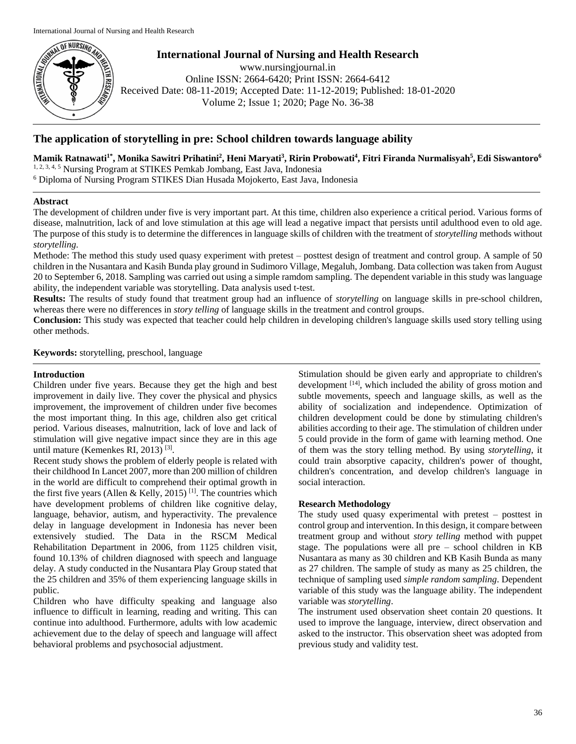

**International Journal of Nursing and Health Research**

www.nursingjournal.in Online ISSN: 2664-6420; Print ISSN: 2664-6412 Received Date: 08-11-2019; Accepted Date: 11-12-2019; Published: 18-01-2020 Volume 2; Issue 1; 2020; Page No. 36-38

# **The application of storytelling in pre: School children towards language ability**

**Mamik Ratnawati1\* , Monika Sawitri Prihatini<sup>2</sup> , Heni Maryati<sup>3</sup> , Ririn Probowati<sup>4</sup> , Fitri Firanda Nurmalisyah<sup>5</sup> ,Edi Siswantoro<sup>6</sup>** 1, 2, 3, 4, 5 Nursing Program at STIKES Pemkab Jombang, East Java, Indonesia

<sup>6</sup> Diploma of Nursing Program STIKES Dian Husada Mojokerto, East Java, Indonesia

## **Abstract**

The development of children under five is very important part. At this time, children also experience a critical period. Various forms of disease, malnutrition, lack of and love stimulation at this age will lead a negative impact that persists until adulthood even to old age. The purpose of this study is to determine the differences in language skills of children with the treatment of *storytelling* methods without *storytelling.*

Methode: The method this study used quasy experiment with pretest – posttest design of treatment and control group. A sample of 50 children in the Nusantara and Kasih Bunda play ground in Sudimoro Village, Megaluh, Jombang. Data collection was taken from August 20 to September 6, 2018. Sampling was carried out using a simple ramdom sampling. The dependent variable in this study was language ability, the independent variable was storytelling. Data analysis used t-test.

**Results:** The results of study found that treatment group had an influence of *storytelling* on language skills in pre-school children, whereas there were no differences in *story telling* of language skills in the treatment and control groups.

**Conclusion:** This study was expected that teacher could help children in developing children's language skills used story telling using other methods.

**Keywords:** storytelling, preschool, language

## **Introduction**

Children under five years. Because they get the high and best improvement in daily live. They cover the physical and physics improvement, the improvement of children under five becomes the most important thing. In this age, children also get critical period. Various diseases, malnutrition, lack of love and lack of stimulation will give negative impact since they are in this age until mature (Kemenkes RI, 2013)<sup>[3]</sup>.

Recent study shows the problem of elderly people is related with their childhood In Lancet 2007, more than 200 million of children in the world are difficult to comprehend their optimal growth in the first five years (Allen & Kelly, 2015)<sup>[1]</sup>. The countries which have development problems of children like cognitive delay, language, behavior, autism, and hyperactivity. The prevalence delay in language development in Indonesia has never been extensively studied. The Data in the RSCM Medical Rehabilitation Department in 2006, from 1125 children visit, found 10.13% of children diagnosed with speech and language delay. A study conducted in the Nusantara Play Group stated that the 25 children and 35% of them experiencing language skills in public.

Children who have difficulty speaking and language also influence to difficult in learning, reading and writing. This can continue into adulthood. Furthermore, adults with low academic achievement due to the delay of speech and language will affect behavioral problems and psychosocial adjustment.

Stimulation should be given early and appropriate to children's development [14], which included the ability of gross motion and subtle movements, speech and language skills, as well as the ability of socialization and independence. Optimization of children development could be done by stimulating children's abilities according to their age. The stimulation of children under 5 could provide in the form of game with learning method. One of them was the story telling method. By using *storytelling*, it could train absorptive capacity, children's power of thought, children's concentration, and develop children's language in social interaction.

## **Research Methodology**

The study used quasy experimental with pretest – posttest in control group and intervention. In this design, it compare between treatment group and without *story telling* method with puppet stage. The populations were all pre – school children in KB Nusantara as many as 30 children and KB Kasih Bunda as many as 27 children. The sample of study as many as 25 children, the technique of sampling used *simple random sampling*. Dependent variable of this study was the language ability. The independent variable was *storytelling*.

The instrument used observation sheet contain 20 questions. It used to improve the language, interview, direct observation and asked to the instructor. This observation sheet was adopted from previous study and validity test.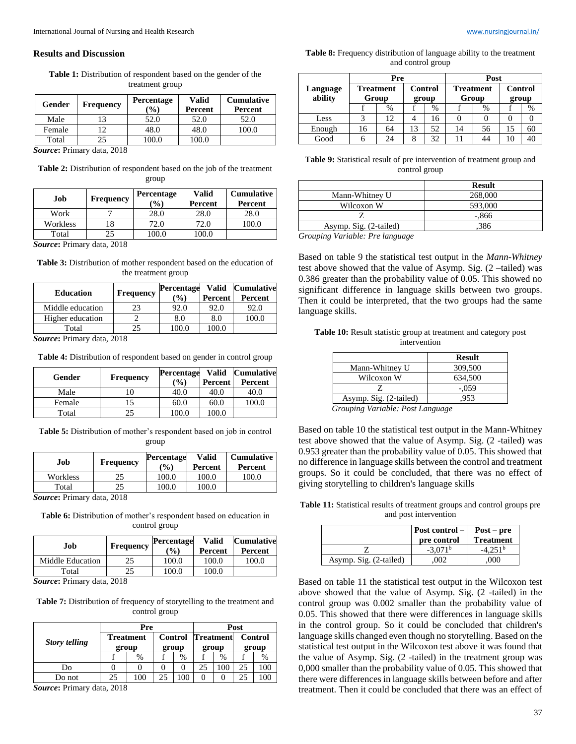#### **Results and Discussion**

**Table 1:** Distribution of respondent based on the gender of the treatment group

| Gender | Frequency | <b>Percentage</b><br>$\binom{0}{0}$ | Valid<br>Percent | <b>Cumulative</b><br>Percent |
|--------|-----------|-------------------------------------|------------------|------------------------------|
| Male   |           | 52.0                                | 52.0             | 52.0                         |
| Female |           | 48.0                                | 48.0             | 100.0                        |
| Total  |           | ስስ በ                                | 100.0            |                              |

*Source***:** Primary data, 2018

**Table 2:** Distribution of respondent based on the job of the treatment group

| Job                    | Frequency               | <b>Percentage</b><br>$\mathcal{O}_0$ | <b>Valid</b><br>Percent | <b>Cumulative</b><br>Percent |
|------------------------|-------------------------|--------------------------------------|-------------------------|------------------------------|
| Work                   |                         | 28.0                                 | 28.0                    | 28.0                         |
| Workless               | 18                      | 72.0                                 | 72.0                    | 100.0                        |
| Total                  |                         | 100.0                                | 100.0                   |                              |
| $\mathbf{r}$<br>$\sim$ | 0.010<br>$\blacksquare$ |                                      |                         |                              |

*Source***:** Primary data, 2018

Table 3: Distribution of mother respondent based on the education of the treatment group

| <b>Education</b> | Frequency | <b>Percentage</b><br>$\frac{9}{6}$ | Percent | Valid Cumulative<br>Percent |
|------------------|-----------|------------------------------------|---------|-----------------------------|
| Middle education | 23        | 92.0                               | 92.0    | 92.0                        |
| Higher education |           | 8.0                                | 8.0     | 100.0                       |
| Total            |           | 100.0                              | 100.0   |                             |

*Source***:** Primary data, 2018

**Table 4:** Distribution of respondent based on gender in control group

| Gender | <b>Frequency</b> | <b>Percentage</b><br>$\binom{0}{0}$ | Percent | Valid Cumulative<br>Percent |
|--------|------------------|-------------------------------------|---------|-----------------------------|
| Male   |                  | 40.0                                | 40.0    | 40.0                        |
| Female |                  | 60.0                                | 60.0    | 100.0                       |
| Total  |                  | 00.0                                | .00.0   |                             |

**Table 5:** Distribution of mother's respondent based on job in control group

| Job                                                    | <b>Frequency</b> | <b>Percentage</b><br>$\binom{0}{0}$ | Valid<br>Percent | <b>Cumulative</b><br>Percent |
|--------------------------------------------------------|------------------|-------------------------------------|------------------|------------------------------|
| Workless                                               | 25               | 100.0                               | 100.0            | 00.0                         |
| Total                                                  | 25               | 100.0                               | 100.0            |                              |
| $C_{\text{source}}$ . Define and $J_{\text{eff}}$ 0010 |                  |                                     |                  |                              |

*Source***:** Primary data, 2018

**Table 6:** Distribution of mother's respondent based on education in control group

| Job              | Frequency | Percentage<br>$($ %) | <b>Valid</b><br>Percent | <b>Cumulative</b><br>Percent |
|------------------|-----------|----------------------|-------------------------|------------------------------|
| Middle Education |           | 100.0                | 100.0                   | 100.0                        |
| Total            |           | 100.0                | 100.0                   |                              |

*Source***:** Primary data, 2018

**Table 7:** Distribution of frequency of storytelling to the treatment and control group

|                      | Pre                       |     |                         |        | Post                      |      |                  |      |
|----------------------|---------------------------|-----|-------------------------|--------|---------------------------|------|------------------|------|
| <b>Story telling</b> | <b>Treatment</b><br>group |     | <b>Control</b><br>group |        | <b>Treatment</b><br>group |      | Control<br>group |      |
|                      |                           | %   |                         | %      |                           | $\%$ |                  | $\%$ |
| Do                   |                           |     |                         | 0      | 25                        |      | 25               | 100  |
| Do not               | 25                        | .00 | 25                      | $00_1$ | 0                         |      |                  |      |

*Source***:** Primary data, 2018

**Table 8:** Frequency distribution of language ability to the treatment and control group

|                     | Pre |                           |                  |      | Post                      |    |                         |    |
|---------------------|-----|---------------------------|------------------|------|---------------------------|----|-------------------------|----|
| Language<br>ability |     | <b>Treatment</b><br>Group | Control<br>group |      | <b>Treatment</b><br>Group |    | <b>Control</b><br>group |    |
|                     |     | %                         |                  | $\%$ |                           | %  |                         | %  |
| Less                |     | 12                        |                  | 16   |                           |    |                         |    |
| Enough              | 16  | 64                        | 13               | 52   | 14                        | 56 | 15                      | 60 |
| Good                |     | 24                        | 8                | 32   |                           |    | 10                      |    |

**Table 9:** Statistical result of pre intervention of treatment group and control group

| <b>Result</b> |
|---------------|
| 268,000       |
| 593,000       |
| $-.866$       |
| .386          |
|               |

*Grouping Variable: Pre language*

Based on table 9 the statistical test output in the *Mann-Whitney* test above showed that the value of Asymp. Sig. (2 –tailed) was 0.386 greater than the probability value of 0.05. This showed no significant difference in language skills between two groups. Then it could be interpreted, that the two groups had the same language skills.

| Table 10: Result statistic group at treatment and category post |  |
|-----------------------------------------------------------------|--|
| intervention                                                    |  |

|                                     | <b>Result</b> |
|-------------------------------------|---------------|
| Mann-Whitney U                      | 309,500       |
| Wilcoxon W                          | 634.500       |
|                                     | $-.059$       |
| Asymp. Sig. (2-tailed)              | .953          |
| $\sigma$ $\cdots$ $\sigma$ $\cdots$ |               |

*Grouping Variable: Post Language*

Based on table 10 the statistical test output in the Mann-Whitney test above showed that the value of Asymp. Sig. (2 -tailed) was 0.953 greater than the probability value of 0.05. This showed that no difference in language skills between the control and treatment groups. So it could be concluded, that there was no effect of giving storytelling to children's language skills

**Table 11:** Statistical results of treatment groups and control groups pre and post intervention

|                        | <b>Post control</b> –<br>pre control | $Post - pre$<br><b>Treatment</b> |
|------------------------|--------------------------------------|----------------------------------|
|                        | $-3.071b$                            | $-4.251^b$                       |
| Asymp. Sig. (2-tailed) | .002                                 | 000                              |

Based on table 11 the statistical test output in the Wilcoxon test above showed that the value of Asymp. Sig. (2 -tailed) in the control group was 0.002 smaller than the probability value of 0.05. This showed that there were differences in language skills in the control group. So it could be concluded that children's language skills changed even though no storytelling. Based on the statistical test output in the Wilcoxon test above it was found that the value of Asymp. Sig. (2 -tailed) in the treatment group was 0,000 smaller than the probability value of 0.05. This showed that there were differences in language skills between before and after treatment. Then it could be concluded that there was an effect of